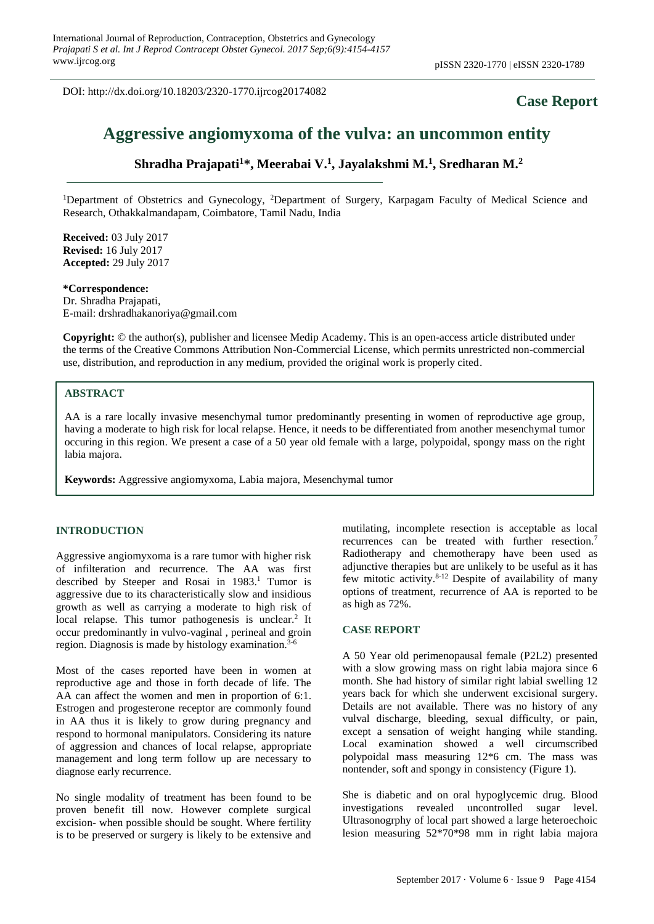DOI: http://dx.doi.org/10.18203/2320-1770.ijrcog20174082

## **Case Report**

# **Aggressive angiomyxoma of the vulva: an uncommon entity**

**Shradha Prajapati<sup>1</sup>\*, Meerabai V.<sup>1</sup> , Jayalakshmi M.<sup>1</sup> , Sredharan M.<sup>2</sup>**

<sup>1</sup>Department of Obstetrics and Gynecology, <sup>2</sup>Department of Surgery, Karpagam Faculty of Medical Science and Research, Othakkalmandapam, Coimbatore, Tamil Nadu, India

**Received:** 03 July 2017 **Revised:** 16 July 2017 **Accepted:** 29 July 2017

#### **\*Correspondence:**

Dr. Shradha Prajapati, E-mail: drshradhakanoriya@gmail.com

**Copyright:** © the author(s), publisher and licensee Medip Academy. This is an open-access article distributed under the terms of the Creative Commons Attribution Non-Commercial License, which permits unrestricted non-commercial use, distribution, and reproduction in any medium, provided the original work is properly cited.

### **ABSTRACT**

AA is a rare locally invasive mesenchymal tumor predominantly presenting in women of reproductive age group, having a moderate to high risk for local relapse. Hence, it needs to be differentiated from another mesenchymal tumor occuring in this region. We present a case of a 50 year old female with a large, polypoidal, spongy mass on the right labia majora.

**Keywords:** Aggressive angiomyxoma, Labia majora, Mesenchymal tumor

#### **INTRODUCTION**

Aggressive angiomyxoma is a rare tumor with higher risk of infilteration and recurrence. The AA was first described by Steeper and Rosai in 1983. <sup>1</sup> Tumor is aggressive due to its characteristically slow and insidious growth as well as carrying a moderate to high risk of local relapse. This tumor pathogenesis is unclear.<sup>2</sup> It occur predominantly in vulvo-vaginal , perineal and groin region. Diagnosis is made by histology examination. 3-6

Most of the cases reported have been in women at reproductive age and those in forth decade of life. The AA can affect the women and men in proportion of 6:1. Estrogen and progesterone receptor are commonly found in AA thus it is likely to grow during pregnancy and respond to hormonal manipulators. Considering its nature of aggression and chances of local relapse, appropriate management and long term follow up are necessary to diagnose early recurrence.

No single modality of treatment has been found to be proven benefit till now. However complete surgical excision- when possible should be sought. Where fertility is to be preserved or surgery is likely to be extensive and mutilating, incomplete resection is acceptable as local recurrences can be treated with further resection.<sup>7</sup> Radiotherapy and chemotherapy have been used as adjunctive therapies but are unlikely to be useful as it has few mitotic activity.8-12 Despite of availability of many options of treatment, recurrence of AA is reported to be as high as 72%.

#### **CASE REPORT**

A 50 Year old perimenopausal female (P2L2) presented with a slow growing mass on right labia majora since 6 month. She had history of similar right labial swelling 12 years back for which she underwent excisional surgery. Details are not available. There was no history of any vulval discharge, bleeding, sexual difficulty, or pain, except a sensation of weight hanging while standing. Local examination showed a well circumscribed polypoidal mass measuring 12\*6 cm. The mass was nontender, soft and spongy in consistency (Figure 1).

She is diabetic and on oral hypoglycemic drug. Blood investigations revealed uncontrolled sugar level. Ultrasonogrphy of local part showed a large heteroechoic lesion measuring 52\*70\*98 mm in right labia majora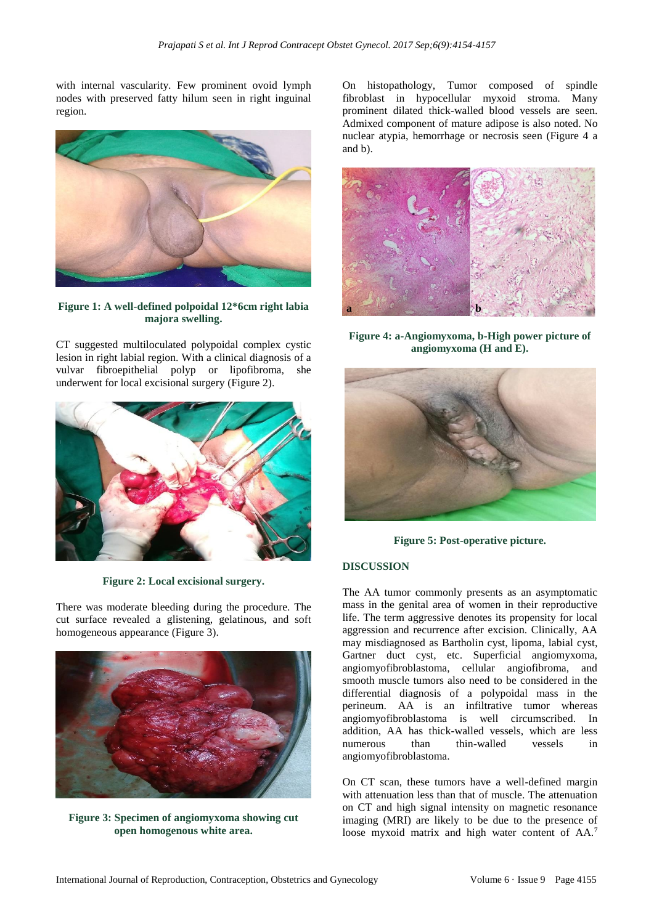with internal vascularity. Few prominent ovoid lymph nodes with preserved fatty hilum seen in right inguinal region.



**Figure 1: A well-defined polpoidal 12\*6cm right labia majora swelling.**

CT suggested multiloculated polypoidal complex cystic lesion in right labial region. With a clinical diagnosis of a vulvar fibroepithelial polyp or lipofibroma, she underwent for local excisional surgery (Figure 2).



**Figure 2: Local excisional surgery.**

There was moderate bleeding during the procedure. The cut surface revealed a glistening, gelatinous, and soft homogeneous appearance (Figure 3).



**Figure 3: Specimen of angiomyxoma showing cut open homogenous white area.**

On histopathology, Tumor composed of spindle fibroblast in hypocellular myxoid stroma. Many prominent dilated thick-walled blood vessels are seen. Admixed component of mature adipose is also noted. No nuclear atypia, hemorrhage or necrosis seen (Figure 4 a and b).



**Figure 4: a-Angiomyxoma, b-High power picture of angiomyxoma (H and E).**



**Figure 5: Post-operative picture.**

#### **DISCUSSION**

The AA tumor commonly presents as an asymptomatic mass in the genital area of women in their reproductive life. The term aggressive denotes its propensity for local aggression and recurrence after excision. Clinically, AA may misdiagnosed as Bartholin cyst, lipoma, labial cyst, Gartner duct cyst, etc. Superficial angiomyxoma, angiomyofibroblastoma, cellular angiofibroma, and smooth muscle tumors also need to be considered in the differential diagnosis of a polypoidal mass in the perineum. AA is an infiltrative tumor whereas angiomyofibroblastoma is well circumscribed. In addition, AA has thick-walled vessels, which are less numerous than thin-walled vessels in angiomyofibroblastoma.

On CT scan, these tumors have a well-defined margin with attenuation less than that of muscle. The attenuation on CT and high signal intensity on magnetic resonance imaging (MRI) are likely to be due to the presence of loose myxoid matrix and high water content of AA.<sup>7</sup>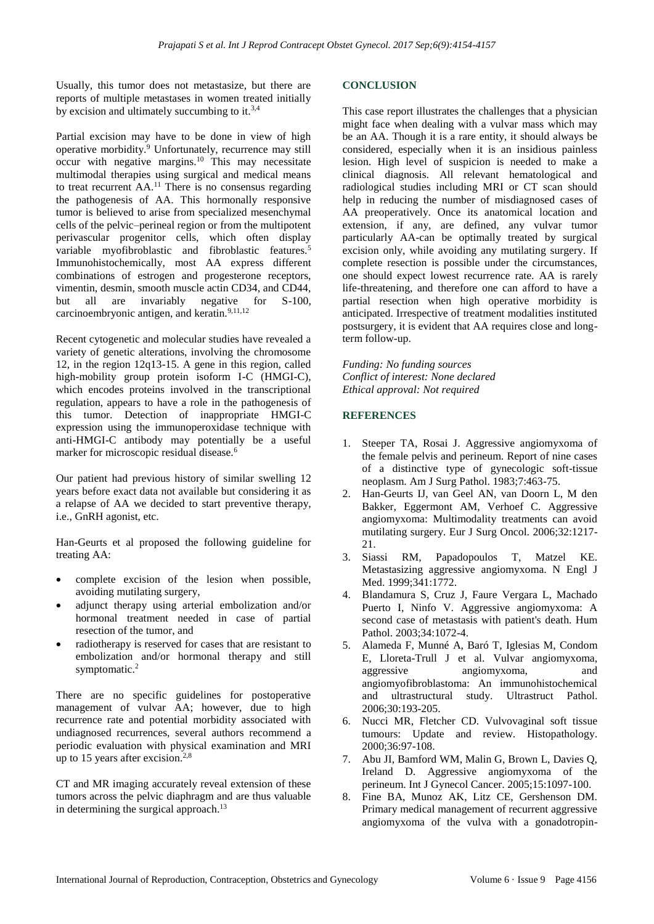Usually, this tumor does not metastasize, but there are reports of multiple metastases in women treated initially by excision and ultimately succumbing to it.<sup>3,4</sup>

Partial excision may have to be done in view of high operative morbidity.<sup>9</sup> Unfortunately, recurrence may still occur with negative margins.<sup>10</sup> This may necessitate multimodal therapies using surgical and medical means to treat recurrent AA.<sup>11</sup> There is no consensus regarding the pathogenesis of AA. This hormonally responsive tumor is believed to arise from specialized mesenchymal cells of the pelvic–perineal region or from the multipotent perivascular progenitor cells, which often display variable myofibroblastic and fibroblastic features.<sup>5</sup> Immunohistochemically, most AA express different combinations of estrogen and progesterone receptors, vimentin, desmin, smooth muscle actin CD34, and CD44, but all are invariably negative for S-100, carcinoembryonic antigen, and keratin.<sup>9,11,12</sup>

Recent cytogenetic and molecular studies have revealed a variety of genetic alterations, involving the chromosome 12, in the region 12q13-15. A gene in this region, called high-mobility group protein isoform I-C (HMGI-C), which encodes proteins involved in the transcriptional regulation, appears to have a role in the pathogenesis of this tumor. Detection of inappropriate HMGI-C expression using the immunoperoxidase technique with anti-HMGI-C antibody may potentially be a useful marker for microscopic residual disease.<sup>6</sup>

Our patient had previous history of similar swelling 12 years before exact data not available but considering it as a relapse of AA we decided to start preventive therapy, i.e., GnRH agonist, etc.

Han-Geurts et al proposed the following guideline for treating AA:

- complete excision of the lesion when possible, avoiding mutilating surgery,
- adjunct therapy using arterial embolization and/or hormonal treatment needed in case of partial resection of the tumor, and
- radiotherapy is reserved for cases that are resistant to embolization and/or hormonal therapy and still symptomatic.<sup>2</sup>

There are no specific guidelines for postoperative management of vulvar AA; however, due to high recurrence rate and potential morbidity associated with undiagnosed recurrences, several authors recommend a periodic evaluation with physical examination and MRI up to 15 years after excision.<sup>2,8</sup>

CT and MR imaging accurately reveal extension of these tumors across the pelvic diaphragm and are thus valuable in determining the surgical approach.<sup>13</sup>

#### **CONCLUSION**

This case report illustrates the challenges that a physician might face when dealing with a vulvar mass which may be an AA. Though it is a rare entity, it should always be considered, especially when it is an insidious painless lesion. High level of suspicion is needed to make a clinical diagnosis. All relevant hematological and radiological studies including MRI or CT scan should help in reducing the number of misdiagnosed cases of AA preoperatively. Once its anatomical location and extension, if any, are defined, any vulvar tumor particularly AA-can be optimally treated by surgical excision only, while avoiding any mutilating surgery. If complete resection is possible under the circumstances, one should expect lowest recurrence rate. AA is rarely life-threatening, and therefore one can afford to have a partial resection when high operative morbidity is anticipated. Irrespective of treatment modalities instituted postsurgery, it is evident that AA requires close and longterm follow-up.

*Funding: No funding sources Conflict of interest: None declared Ethical approval: Not required*

#### **REFERENCES**

- 1. Steeper TA, Rosai J. Aggressive angiomyxoma of the female pelvis and perineum. Report of nine cases of a distinctive type of gynecologic soft-tissue neoplasm. Am J Surg Pathol. 1983;7:463-75.
- 2. Han-Geurts IJ, van Geel AN, van Doorn L, M den Bakker, Eggermont AM, Verhoef C. Aggressive angiomyxoma: Multimodality treatments can avoid mutilating surgery. Eur J Surg Oncol. 2006;32:1217- 21.
- 3. Siassi RM, Papadopoulos T, Matzel KE. Metastasizing aggressive angiomyxoma. N Engl J Med. 1999;341:1772.
- 4. Blandamura S, Cruz J, Faure Vergara L, Machado Puerto I, Ninfo V. Aggressive angiomyxoma: A second case of metastasis with patient's death. Hum Pathol. 2003;34:1072-4.
- 5. Alameda F, Munné A, Baró T, Iglesias M, Condom E, Lloreta-Trull J et al. Vulvar angiomyxoma, aggressive angiomyxoma, and angiomyofibroblastoma: An immunohistochemical and ultrastructural study. Ultrastruct Pathol. 2006;30:193-205.
- 6. Nucci MR, Fletcher CD. Vulvovaginal soft tissue tumours: Update and review. Histopathology. 2000;36:97-108.
- 7. Abu JI, Bamford WM, Malin G, Brown L, Davies Q, Ireland D. Aggressive angiomyxoma of the perineum. Int J Gynecol Cancer. 2005;15:1097-100.
- 8. Fine BA, Munoz AK, Litz CE, Gershenson DM. Primary medical management of recurrent aggressive angiomyxoma of the vulva with a gonadotropin-